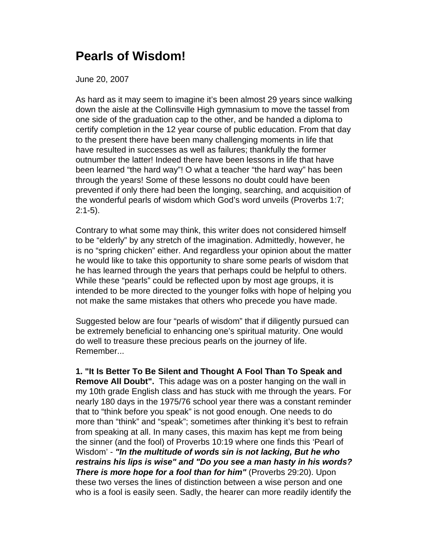## **Pearls of Wisdom!**

June 20, 2007

As hard as it may seem to imagine it's been almost 29 years since walking down the aisle at the Collinsville High gymnasium to move the tassel from one side of the graduation cap to the other, and be handed a diploma to certify completion in the 12 year course of public education. From that day to the present there have been many challenging moments in life that have resulted in successes as well as failures; thankfully the former outnumber the latter! Indeed there have been lessons in life that have been learned "the hard way"! O what a teacher "the hard way" has been through the years! Some of these lessons no doubt could have been prevented if only there had been the longing, searching, and acquisition of the wonderful pearls of wisdom which God's word unveils (Proverbs 1:7; 2:1-5).

Contrary to what some may think, this writer does not considered himself to be "elderly" by any stretch of the imagination. Admittedly, however, he is no "spring chicken" either. And regardless your opinion about the matter he would like to take this opportunity to share some pearls of wisdom that he has learned through the years that perhaps could be helpful to others. While these "pearls" could be reflected upon by most age groups, it is intended to be more directed to the younger folks with hope of helping you not make the same mistakes that others who precede you have made.

Suggested below are four "pearls of wisdom" that if diligently pursued can be extremely beneficial to enhancing one's spiritual maturity. One would do well to treasure these precious pearls on the journey of life. Remember...

**1. "It Is Better To Be Silent and Thought A Fool Than To Speak and Remove All Doubt".** This adage was on a poster hanging on the wall in my 10th grade English class and has stuck with me through the years. For nearly 180 days in the 1975/76 school year there was a constant reminder that to "think before you speak" is not good enough. One needs to do more than "think" and "speak"; sometimes after thinking it's best to refrain from speaking at all. In many cases, this maxim has kept me from being the sinner (and the fool) of Proverbs 10:19 where one finds this 'Pearl of Wisdom' - *"In the multitude of words sin is not lacking, But he who restrains his lips is wise" and "Do you see a man hasty in his words? There is more hope for a fool than for him"* (Proverbs 29:20). Upon these two verses the lines of distinction between a wise person and one who is a fool is easily seen. Sadly, the hearer can more readily identify the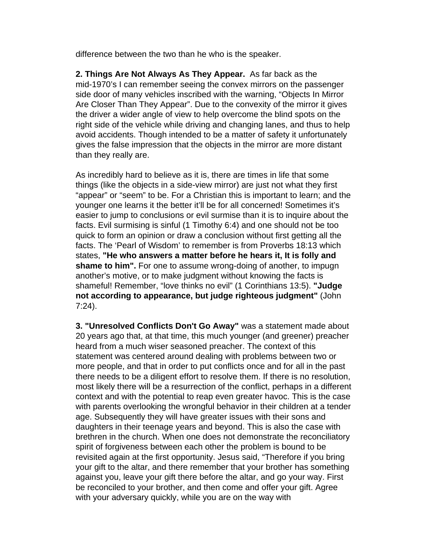difference between the two than he who is the speaker.

**2. Things Are Not Always As They Appear.** As far back as the mid-1970's I can remember seeing the convex mirrors on the passenger side door of many vehicles inscribed with the warning, "Objects In Mirror Are Closer Than They Appear". Due to the convexity of the mirror it gives the driver a wider angle of view to help overcome the blind spots on the right side of the vehicle while driving and changing lanes, and thus to help avoid accidents. Though intended to be a matter of safety it unfortunately gives the false impression that the objects in the mirror are more distant than they really are.

As incredibly hard to believe as it is, there are times in life that some things (like the objects in a side-view mirror) are just not what they first "appear" or "seem" to be. For a Christian this is important to learn; and the younger one learns it the better it'll be for all concerned! Sometimes it's easier to jump to conclusions or evil surmise than it is to inquire about the facts. Evil surmising is sinful (1 Timothy 6:4) and one should not be too quick to form an opinion or draw a conclusion without first getting all the facts. The 'Pearl of Wisdom' to remember is from Proverbs 18:13 which states, **"He who answers a matter before he hears it, It is folly and shame to him".** For one to assume wrong-doing of another, to impugn another's motive, or to make judgment without knowing the facts is shameful! Remember, "love thinks no evil" (1 Corinthians 13:5). **"Judge not according to appearance, but judge righteous judgment"** (John 7:24).

**3. "Unresolved Conflicts Don't Go Away"** was a statement made about 20 years ago that, at that time, this much younger (and greener) preacher heard from a much wiser seasoned preacher. The context of this statement was centered around dealing with problems between two or more people, and that in order to put conflicts once and for all in the past there needs to be a diligent effort to resolve them. If there is no resolution, most likely there will be a resurrection of the conflict, perhaps in a different context and with the potential to reap even greater havoc. This is the case with parents overlooking the wrongful behavior in their children at a tender age. Subsequently they will have greater issues with their sons and daughters in their teenage years and beyond. This is also the case with brethren in the church. When one does not demonstrate the reconciliatory spirit of forgiveness between each other the problem is bound to be revisited again at the first opportunity. Jesus said, "Therefore if you bring your gift to the altar, and there remember that your brother has something against you, leave your gift there before the altar, and go your way. First be reconciled to your brother, and then come and offer your gift. Agree with your adversary quickly, while you are on the way with